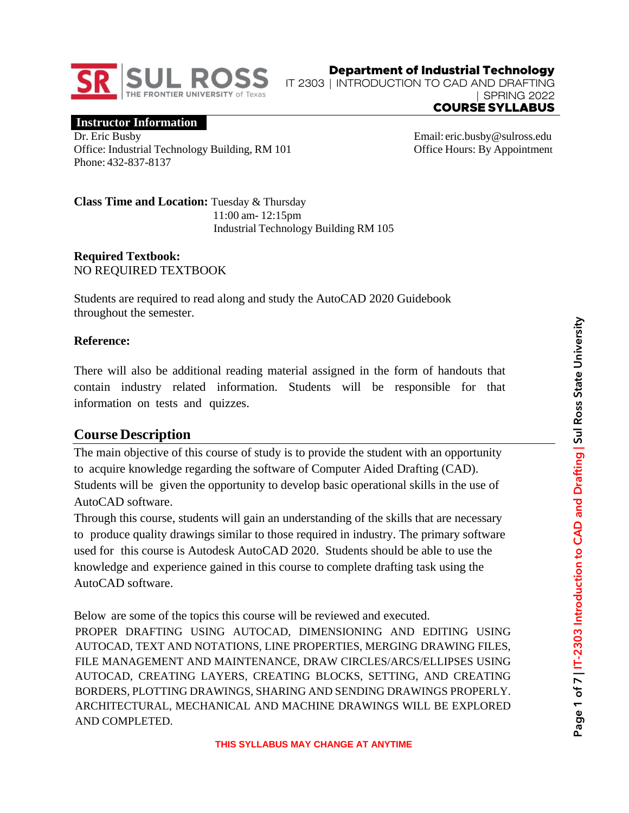

Department of Industrial Technology IT 2303 | INTRODUCTION TO CAD AND DRAFTING | SPRING 2022 COURSE SYLLABUS

**Instructor Information**

Dr. Eric Busby Office: Industrial Technology Building, RM 101 Phone: 432-837-8137

Email: [eric.busby@sulross.edu](mailto:eric.busby@sulross.edu) Office Hours: By Appointment

**Class Time and Location:** Tuesday & Thursday 11:00 am- 12:15pm Industrial Technology Building RM 105

### **Required Textbook:** NO REQUIRED TEXTBOOK

Students are required to read along and study the AutoCAD 2020 Guidebook throughout the semester.

### **Reference:**

There will also be additional reading material assigned in the form of handouts that contain industry related information. Students will be responsible for that information on tests and quizzes.

## **Course Description**

The main objective of this course of study is to provide the student with an opportunity to acquire knowledge regarding the software of Computer Aided Drafting (CAD). Students will be given the opportunity to develop basic operational skills in the use of AutoCAD software.

Through this course, students will gain an understanding of the skills that are necessary to produce quality drawings similar to those required in industry. The primary software used for this course is Autodesk AutoCAD 2020. Students should be able to use the knowledge and experience gained in this course to complete drafting task using the AutoCAD software.

Below are some of the topics this course will be reviewed and executed. PROPER DRAFTING USING AUTOCAD, DIMENSIONING AND EDITING USING AUTOCAD, TEXT AND NOTATIONS, LINE PROPERTIES, MERGING DRAWING FILES, FILE MANAGEMENT AND MAINTENANCE, DRAW CIRCLES/ARCS/ELLIPSES USING AUTOCAD, CREATING LAYERS, CREATING BLOCKS, SETTING, AND CREATING BORDERS, PLOTTING DRAWINGS, SHARING AND SENDING DRAWINGS PROPERLY. ARCHITECTURAL, MECHANICAL AND MACHINE DRAWINGS WILL BE EXPLORED AND COMPLETED.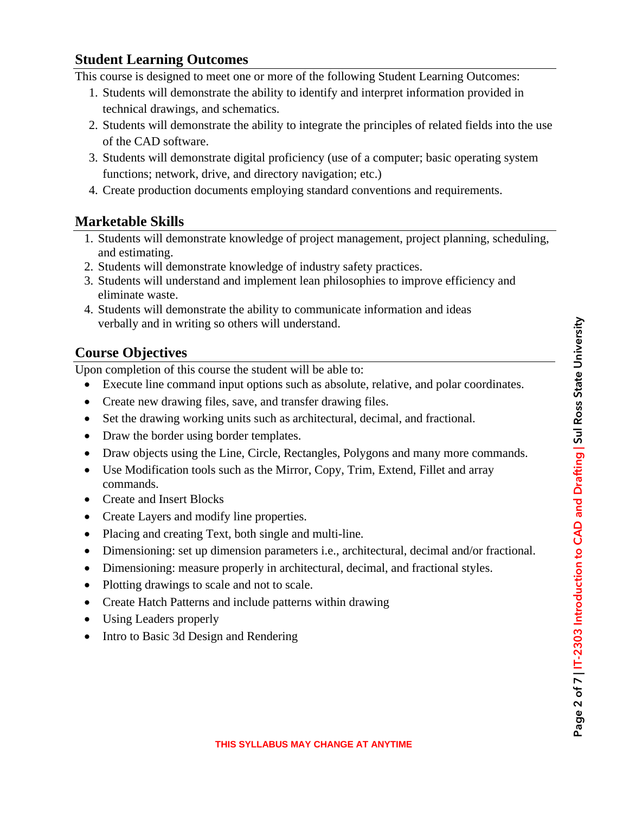### **Student Learning Outcomes**

This course is designed to meet one or more of the following Student Learning Outcomes:

- 1. Students will demonstrate the ability to identify and interpret information provided in technical drawings, and schematics.
- 2. Students will demonstrate the ability to integrate the principles of related fields into the use of the CAD software.
- 3. Students will demonstrate digital proficiency (use of a computer; basic operating system functions; network, drive, and directory navigation; etc.)
- 4. Create production documents employing standard conventions and requirements.

## **Marketable Skills**

- 1. Students will demonstrate knowledge of project management, project planning, scheduling, and estimating.
- 2. Students will demonstrate knowledge of industry safety practices.
- 3. Students will understand and implement lean philosophies to improve efficiency and eliminate waste.
- 4. Students will demonstrate the ability to communicate information and ideas verbally and in writing so others will understand.

# **Course Objectives**

Upon completion of this course the student will be able to:

- Execute line command input options such as absolute, relative, and polar coordinates.
- Create new drawing files, save, and transfer drawing files.
- Set the drawing working units such as architectural, decimal, and fractional.
- Draw the border using border templates.
- Draw objects using the Line, Circle, Rectangles, Polygons and many more commands.
- Use Modification tools such as the Mirror, Copy, Trim, Extend, Fillet and array commands.
- Create and Insert Blocks
- Create Layers and modify line properties.
- Placing and creating Text, both single and multi-line.
- Dimensioning: set up dimension parameters i.e., architectural, decimal and/or fractional.
- Dimensioning: measure properly in architectural, decimal, and fractional styles.
- Plotting drawings to scale and not to scale.
- Create Hatch Patterns and include patterns within drawing
- Using Leaders properly
- Intro to Basic 3d Design and Rendering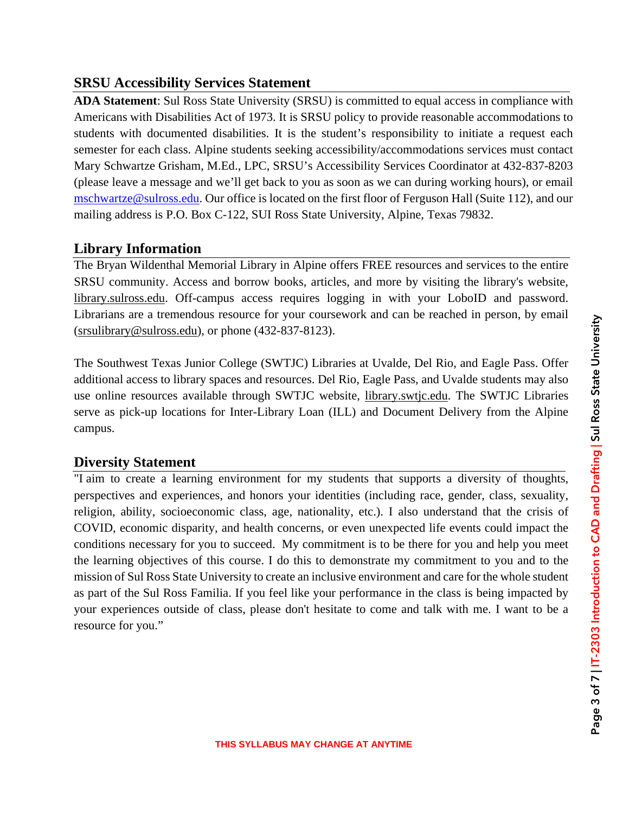## **SRSU Accessibility Services Statement**

**ADA Statement**: Sul Ross State University (SRSU) is committed to equal access in compliance with Americans with Disabilities Act of 1973. It is SRSU policy to provide reasonable accommodations to students with documented disabilities. It is the student's responsibility to initiate a request each semester for each class. Alpine students seeking accessibility/accommodations services must contact Mary Schwartze Grisham, M.Ed., LPC, SRSU's Accessibility Services Coordinator at 432-837-8203 (please leave a message and we'll get back to you as soon as we can during working hours), or email [mschwartze@sulross.edu.](mailto:mschwartze@sulross.edu) Our office is located on the first floor of Ferguson Hall (Suite 112), and our mailing address is P.O. Box C-122, SUI Ross State University, Alpine, Texas 79832.

# **Library Information**

The Bryan Wildenthal Memorial Library in Alpine offers FREE resources and services to the entire SRSU community. Access and borrow books, articles, and more by visiting the library's website, library.sulross.edu. Off-campus access requires logging in with your LoboID and password. Librarians are a tremendous resource for your coursework and can be reached in person, by email (srsulibrary@sulross.edu), or phone (432-837-8123).

The Southwest Texas Junior College (SWTJC) Libraries at Uvalde, Del Rio, and Eagle Pass. Offer additional access to library spaces and resources. Del Rio, Eagle Pass, and Uvalde students may also use online resources available through SWTJC website, library.swtjc.edu. The SWTJC Libraries serve as pick-up locations for Inter-Library Loan (ILL) and Document Delivery from the Alpine campus.

# **Diversity Statement**

"I aim to create a learning environment for my students that supports a diversity of thoughts, perspectives and experiences, and honors your identities (including race, gender, class, sexuality, religion, ability, socioeconomic class, age, nationality, etc.). I also understand that the crisis of COVID, economic disparity, and health concerns, or even unexpected life events could impact the conditions necessary for you to succeed. My commitment is to be there for you and help you meet the learning objectives of this course. I do this to demonstrate my commitment to you and to the mission of Sul Ross State University to create an inclusive environment and care for the whole student as part of the Sul Ross Familia. If you feel like your performance in the class is being impacted by your experiences outside of class, please don't hesitate to come and talk with me. I want to be a resource for you."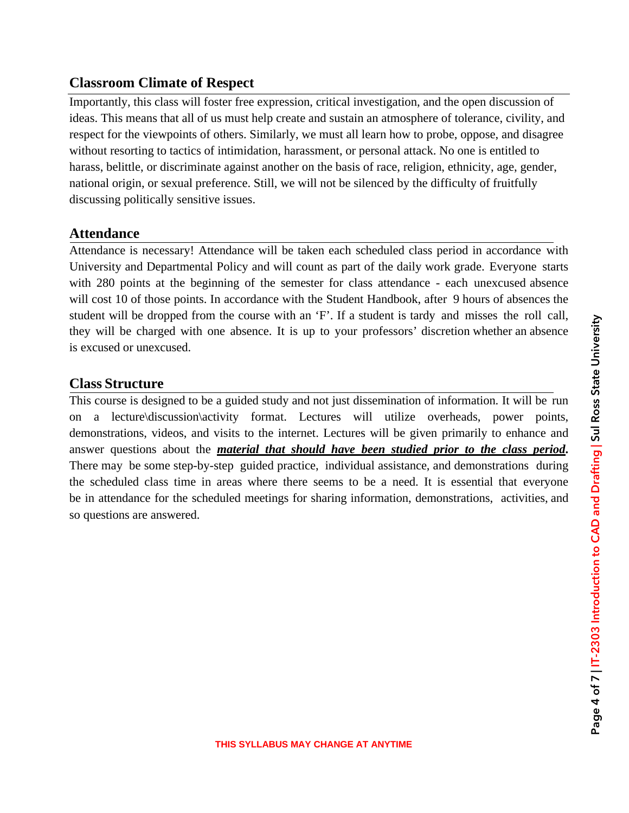## **Classroom Climate of Respect**

Importantly, this class will foster free expression, critical investigation, and the open discussion of ideas. This means that all of us must help create and sustain an atmosphere of tolerance, civility, and respect for the viewpoints of others. Similarly, we must all learn how to probe, oppose, and disagree without resorting to tactics of intimidation, harassment, or personal attack. No one is entitled to harass, belittle, or discriminate against another on the basis of race, religion, ethnicity, age, gender, national origin, or sexual preference. Still, we will not be silenced by the difficulty of fruitfully discussing politically sensitive issues.

### **Attendance**

Attendance is necessary! Attendance will be taken each scheduled class period in accordance with University and Departmental Policy and will count as part of the daily work grade. Everyone starts with 280 points at the beginning of the semester for class attendance - each unexcused absence will cost 10 of those points. In accordance with the Student Handbook, after 9 hours of absences the student will be dropped from the course with an 'F'. If a student is tardy and misses the roll call, they will be charged with one absence. It is up to your professors' discretion whether an absence is excused or unexcused.

## **Class Structure**

This course is designed to be a guided study and not just dissemination of information. It will be run on a lecture\discussion\activity format. Lectures will utilize overheads, power points, demonstrations, videos, and visits to the internet. Lectures will be given primarily to enhance and answer questions about the *material that should have been studied prior to the class period***.** There may be some step-by-step guided practice, individual assistance, and demonstrations during the scheduled class time in areas where there seems to be a need. It is essential that everyone be in attendance for the scheduled meetings for sharing information, demonstrations, activities, and so questions are answered.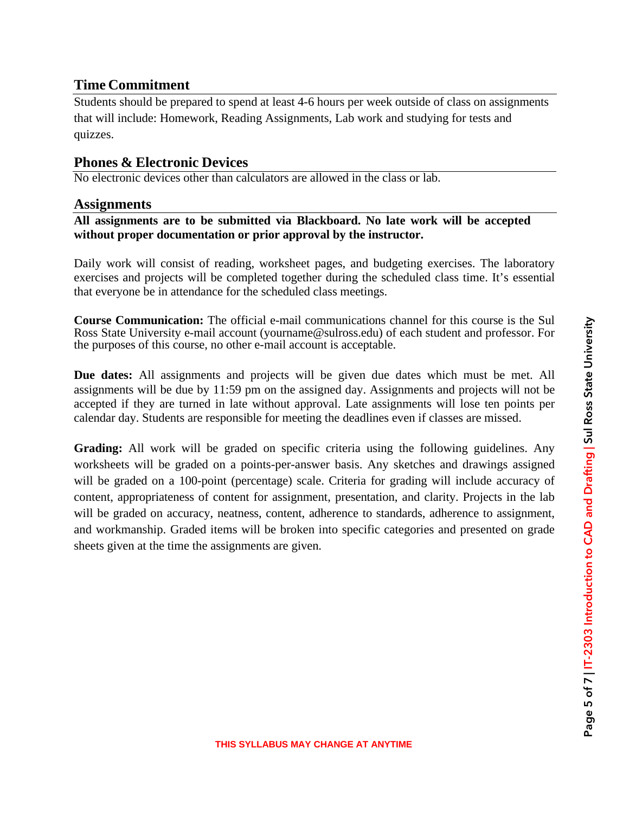### **Time Commitment**

Students should be prepared to spend at least 4-6 hours per week outside of class on assignments that will include: Homework, Reading Assignments, Lab work and studying for tests and quizzes.

### **Phones & Electronic Devices**

No electronic devices other than calculators are allowed in the class or lab.

#### **Assignments**

#### **All assignments are to be submitted via Blackboard. No late work will be accepted without proper documentation or prior approval by the instructor.**

Daily work will consist of reading, worksheet pages, and budgeting exercises. The laboratory exercises and projects will be completed together during the scheduled class time. It's essential that everyone be in attendance for the scheduled class meetings.

**Course Communication:** The official e-mail communications channel for this course is the Sul Ross State University e-mail account (yourname@sulross.edu) of each student and professor. For the purposes of this course, no other e-mail account is acceptable.

**Due dates:** All assignments and projects will be given due dates which must be met. All assignments will be due by 11:59 pm on the assigned day. Assignments and projects will not be accepted if they are turned in late without approval. Late assignments will lose ten points per calendar day. Students are responsible for meeting the deadlines even if classes are missed.

**Grading:** All work will be graded on specific criteria using the following guidelines. Any worksheets will be graded on a points-per-answer basis. Any sketches and drawings assigned will be graded on a 100-point (percentage) scale. Criteria for grading will include accuracy of content, appropriateness of content for assignment, presentation, and clarity. Projects in the lab will be graded on accuracy, neatness, content, adherence to standards, adherence to assignment, and workmanship. Graded items will be broken into specific categories and presented on grade sheets given at the time the assignments are given.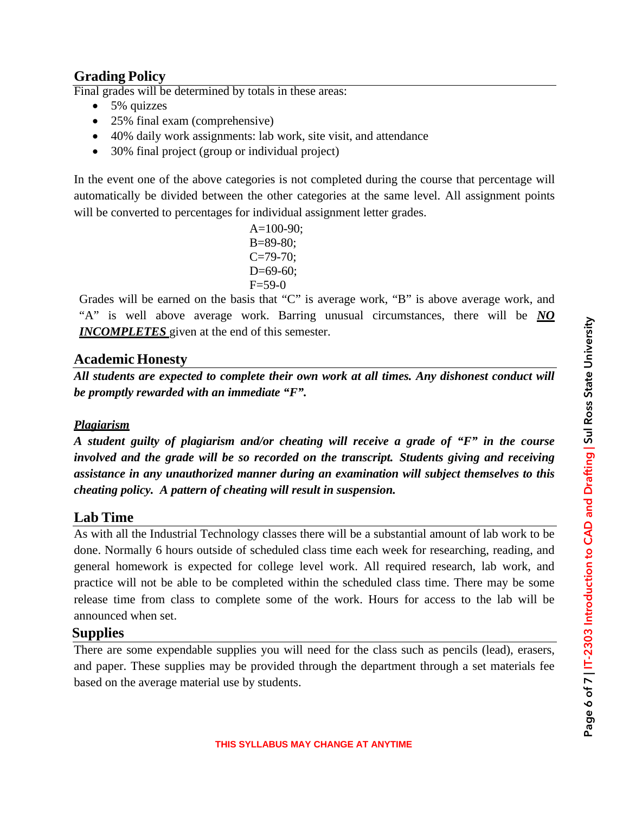## **Grading Policy**

Final grades will be determined by totals in these areas:

- 5% quizzes
- 25% final exam (comprehensive)
- 40% daily work assignments: lab work, site visit, and attendance
- 30% final project (group or individual project)

In the event one of the above categories is not completed during the course that percentage will automatically be divided between the other categories at the same level. All assignment points will be converted to percentages for individual assignment letter grades.

> $A=100-90$ ; B=89-80;  $C = 79 - 70$ ;  $D=69-60$ :  $F=59-0$

Grades will be earned on the basis that "C" is average work, "B" is above average work, and "A" is well above average work. Barring unusual circumstances, there will be *NO INCOMPLETES* given at the end of this semester.

#### **Academic Honesty**

*All students are expected to complete their own work at all times. Any dishonest conduct will be promptly rewarded with an immediate "F".*

#### *Plagiarism*

*A student guilty of plagiarism and/or cheating will receive a grade of "F" in the course involved and the grade will be so recorded on the transcript. Students giving and receiving assistance in any unauthorized manner during an examination will subject themselves to this cheating policy. A pattern of cheating will result in suspension.*

#### **Lab Time**

As with all the Industrial Technology classes there will be a substantial amount of lab work to be done. Normally 6 hours outside of scheduled class time each week for researching, reading, and general homework is expected for college level work. All required research, lab work, and practice will not be able to be completed within the scheduled class time. There may be some release time from class to complete some of the work. Hours for access to the lab will be announced when set.

### **Supplies**

There are some expendable supplies you will need for the class such as pencils (lead), erasers, and paper. These supplies may be provided through the department through a set materials fee based on the average material use by students.